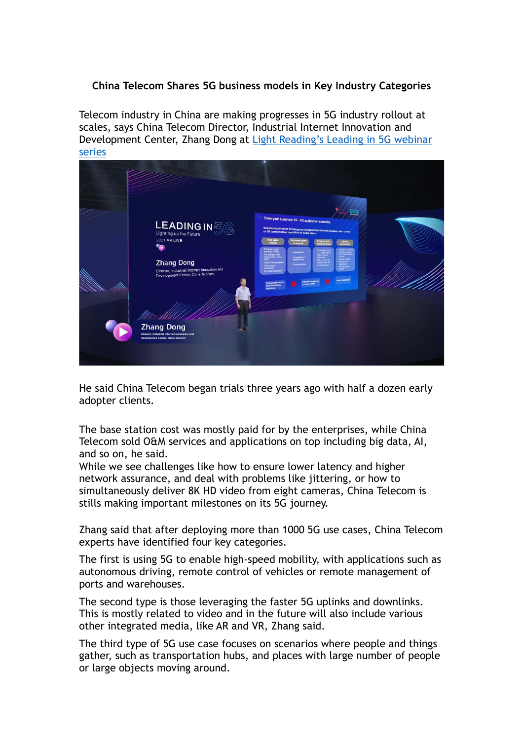## **China Telecom Shares 5G business models in Key Industry Categories**

Telecom industry in China are making progresses in 5G industry rollout at scales, says China Telecom Director, Industrial Internet Innovation and Development Center, Zhang Dong at Light Reading's Leading in 5G webinar series



He said China Telecom began trials three years ago with half a dozen early adopter clients.

The base station cost was mostly paid for by the enterprises, while China Telecom sold O&M services and applications on top including big data, AI, and so on, he said.

While we see challenges like how to ensure lower latency and higher network assurance, and deal with problems like jittering, or how to simultaneously deliver 8K HD video from eight cameras, China Telecom is stills making important milestones on its 5G journey.

Zhang said that after deploying more than 1000 5G use cases, China Telecom experts have identified four key categories.

The first is using 5G to enable high-speed mobility, with applications such as autonomous driving, remote control of vehicles or remote management of ports and warehouses.

The second type is those leveraging the faster 5G uplinks and downlinks. This is mostly related to video and in the future will also include various other integrated media, like AR and VR, Zhang said.

The third type of 5G use case focuses on scenarios where people and things gather, such as transportation hubs, and places with large number of people or large objects moving around.